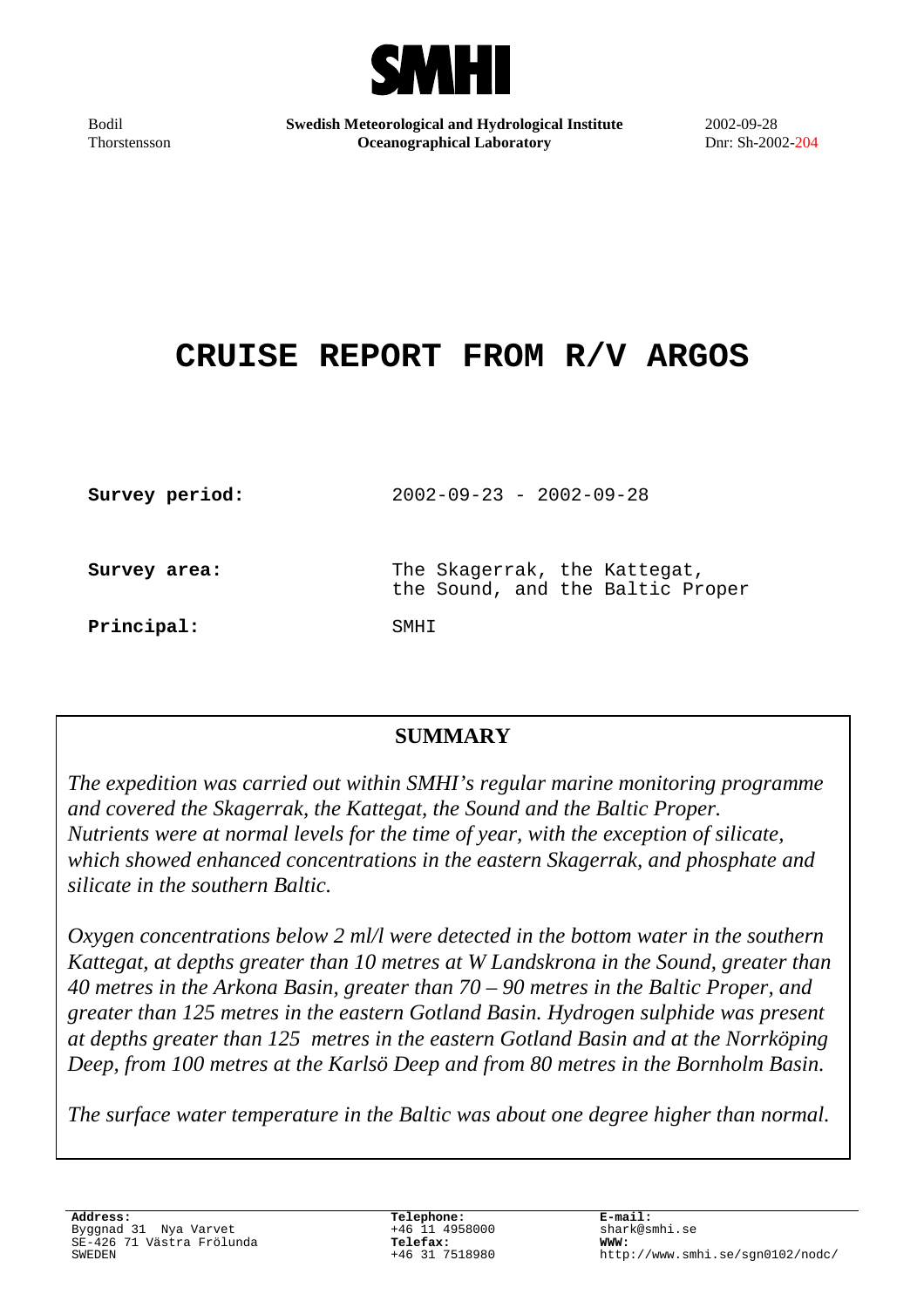

Bodil Thorstensson **Swedish Meteorological and Hydrological Institute Oceanographical Laboratory**

2002-09-28 Dnr: Sh-2002-204

# **CRUISE REPORT FROM R/V ARGOS**

| Survey period: | $2002 - 09 - 23 - 2002 - 09 - 28$                                |
|----------------|------------------------------------------------------------------|
| Survey area:   | The Skagerrak, the Kattegat,<br>the Sound, and the Baltic Proper |
| Principal:     | SMHT                                                             |

# **SUMMARY**

*The expedition was carried out within SMHI's regular marine monitoring programme and covered the Skagerrak, the Kattegat, the Sound and the Baltic Proper. Nutrients were at normal levels for the time of year, with the exception of silicate, which showed enhanced concentrations in the eastern Skagerrak, and phosphate and silicate in the southern Baltic.*

*Oxygen concentrations below 2 ml/l were detected in the bottom water in the southern Kattegat, at depths greater than 10 metres at W Landskrona in the Sound, greater than 40 metres in the Arkona Basin, greater than 70 – 90 metres in the Baltic Proper, and greater than 125 metres in the eastern Gotland Basin. Hydrogen sulphide was present at depths greater than 125 metres in the eastern Gotland Basin and at the Norrköping Deep, from 100 metres at the Karlsö Deep and from 80 metres in the Bornholm Basin.*

*The surface water temperature in the Baltic was about one degree higher than normal.*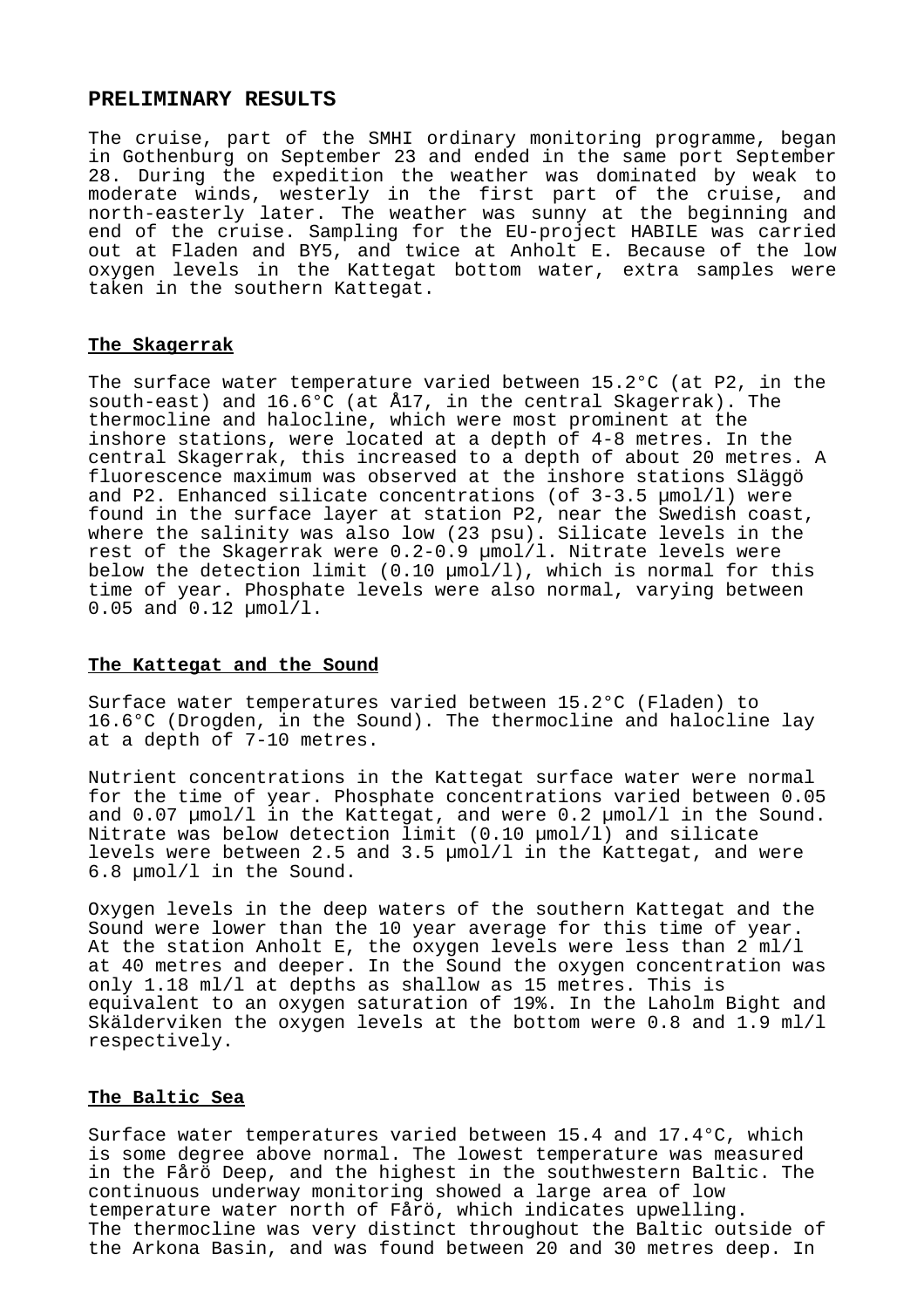## **PRELIMINARY RESULTS**

The cruise, part of the SMHI ordinary monitoring programme, began in Gothenburg on September 23 and ended in the same port September 28. During the expedition the weather was dominated by weak to moderate winds, westerly in the first part of the cruise, and north-easterly later. The weather was sunny at the beginning and end of the cruise. Sampling for the EU-project HABILE was carried out at Fladen and BY5, and twice at Anholt E. Because of the low oxygen levels in the Kattegat bottom water, extra samples were taken in the southern Kattegat.

#### **The Skagerrak**

The surface water temperature varied between 15.2°C (at P2, in the south-east) and 16.6°C (at Å17, in the central Skagerrak). The thermocline and halocline, which were most prominent at the inshore stations, were located at a depth of 4-8 metres. In the central Skagerrak, this increased to a depth of about 20 metres. A fluorescence maximum was observed at the inshore stations Släggö and P2. Enhanced silicate concentrations (of 3-3.5 µmol/l) were found in the surface layer at station P2, near the Swedish coast, where the salinity was also low (23 psu). Silicate levels in the rest of the Skagerrak were 0.2-0.9 µmol/l. Nitrate levels were below the detection limit  $(0.10 \text{ mmol}/1)$ , which is normal for this time of year. Phosphate levels were also normal, varying between 0.05 and 0.12 µmol/l.

#### **The Kattegat and the Sound**

Surface water temperatures varied between 15.2°C (Fladen) to 16.6°C (Drogden, in the Sound). The thermocline and halocline lay at a depth of 7-10 metres.

Nutrient concentrations in the Kattegat surface water were normal for the time of year. Phosphate concentrations varied between 0.05 and 0.07 µmol/l in the Kattegat, and were 0.2 µmol/l in the Sound. Nitrate was below detection limit (0.10 µmol/l) and silicate levels were between 2.5 and 3.5 µmol/l in the Kattegat, and were 6.8 µmol/l in the Sound.

Oxygen levels in the deep waters of the southern Kattegat and the Sound were lower than the 10 year average for this time of year. At the station Anholt E, the oxygen levels were less than 2 ml/l at 40 metres and deeper. In the Sound the oxygen concentration was only 1.18 ml/l at depths as shallow as 15 metres. This is equivalent to an oxygen saturation of 19%. In the Laholm Bight and Skälderviken the oxygen levels at the bottom were 0.8 and 1.9 ml/l respectively.

#### **The Baltic Sea**

Surface water temperatures varied between 15.4 and 17.4°C, which is some degree above normal. The lowest temperature was measured in the Fårö Deep, and the highest in the southwestern Baltic. The continuous underway monitoring showed a large area of low temperature water north of Fårö, which indicates upwelling. The thermocline was very distinct throughout the Baltic outside of the Arkona Basin, and was found between 20 and 30 metres deep. In